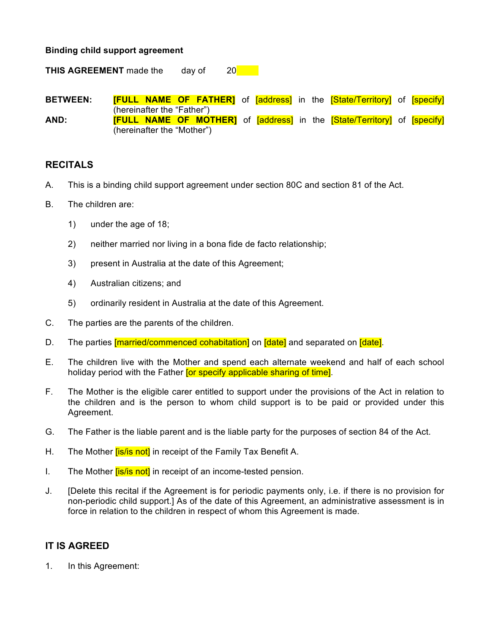## **Binding child support agreement**

**THIS AGREEMENT** made the day of 20

**BETWEEN: [FULL NAME OF FATHER]** of **[address]** in the **[State/Territory]** of **[specify]** (hereinafter the "Father") **AND: [FULL NAME OF MOTHER]** of [address] in the [State/Territory] of [specify] (hereinafter the "Mother")

## **RECITALS**

- A. This is a binding child support agreement under section 80C and section 81 of the Act.
- B. The children are:
	- 1) under the age of 18;
	- 2) neither married nor living in a bona fide de facto relationship;
	- 3) present in Australia at the date of this Agreement;
	- 4) Australian citizens; and
	- 5) ordinarily resident in Australia at the date of this Agreement.
- C. The parties are the parents of the children.
- D. The parties [married/commenced cohabitation] on [date] and separated on [date].
- E. The children live with the Mother and spend each alternate weekend and half of each school holiday period with the Father **for specify applicable sharing of time**.
- F. The Mother is the eligible carer entitled to support under the provisions of the Act in relation to the children and is the person to whom child support is to be paid or provided under this Agreement.
- G. The Father is the liable parent and is the liable party for the purposes of section 84 of the Act.
- H. The Mother *[is/is not]* in receipt of the Family Tax Benefit A.
- I. The Mother *[is/is not]* in receipt of an income-tested pension.
- J. [Delete this recital if the Agreement is for periodic payments only, i.e. if there is no provision for non-periodic child support.] As of the date of this Agreement, an administrative assessment is in force in relation to the children in respect of whom this Agreement is made.

## **IT IS AGREED**

1. In this Agreement: